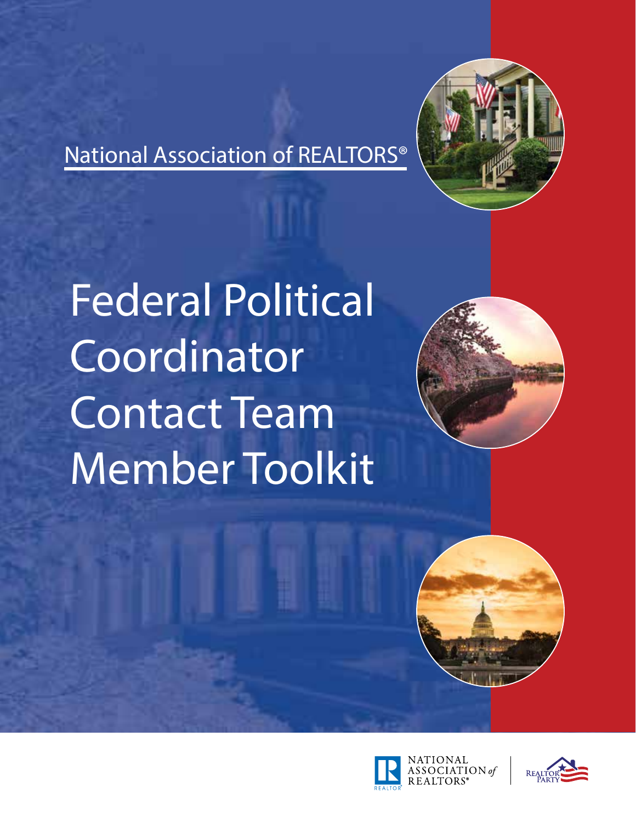



Federal Political Coordinator Contact Team Member Toolkit







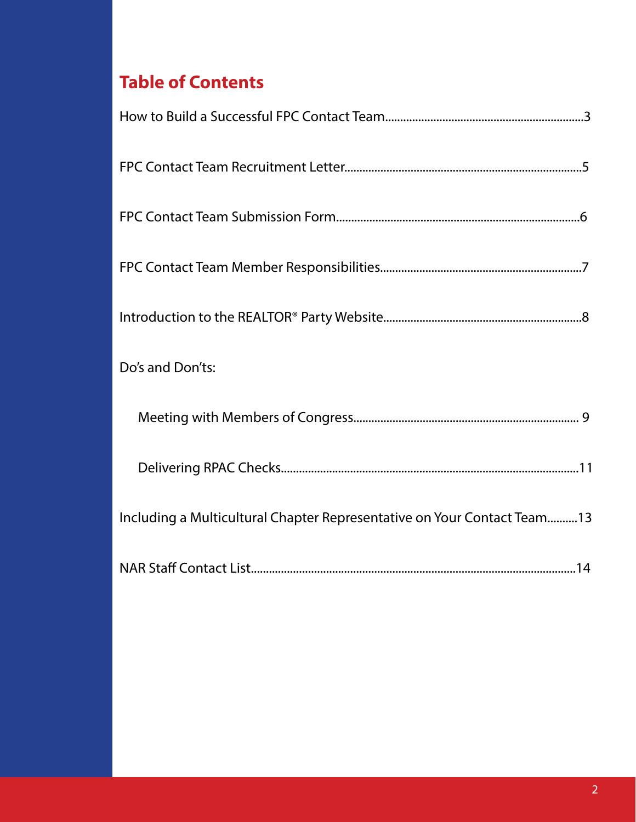# **Table of Contents**

| Do's and Don'ts:                                                        |
|-------------------------------------------------------------------------|
|                                                                         |
|                                                                         |
| Including a Multicultural Chapter Representative on Your Contact Team13 |
|                                                                         |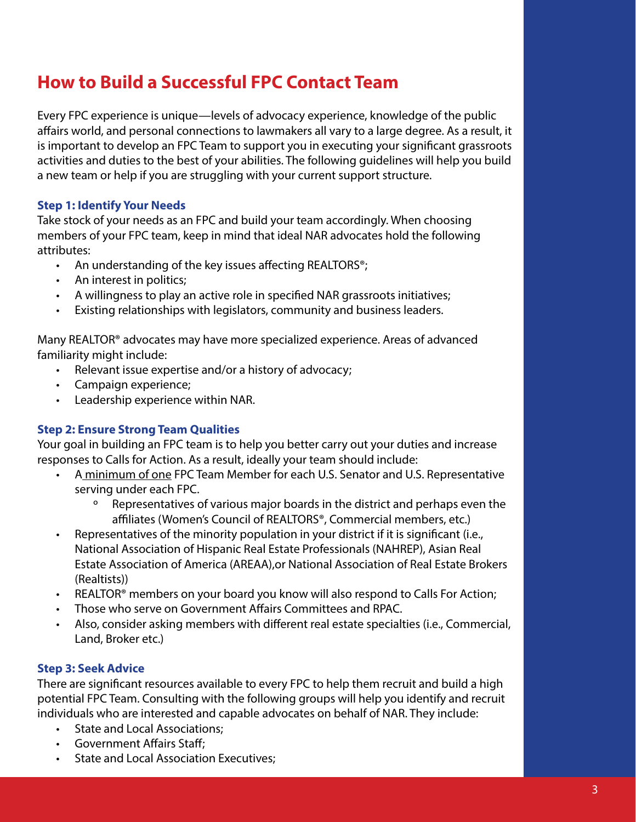# **How to Build a Successful FPC Contact Team**

Every FPC experience is unique—levels of advocacy experience, knowledge of the public affairs world, and personal connections to lawmakers all vary to a large degree. As a result, it is important to develop an FPC Team to support you in executing your significant grassroots activities and duties to the best of your abilities. The following guidelines will help you build a new team or help if you are struggling with your current support structure.

### **Step 1: Identify Your Needs**

Take stock of your needs as an FPC and build your team accordingly. When choosing members of your FPC team, keep in mind that ideal NAR advocates hold the following attributes:

- An understanding of the key issues affecting REALTORS<sup>®</sup>;
- An interest in politics;
- A willingness to play an active role in specified NAR grassroots initiatives;
- Existing relationships with legislators, community and business leaders.

Many REALTOR® advocates may have more specialized experience. Areas of advanced familiarity might include:

- Relevant issue expertise and/or a history of advocacy;
- Campaign experience;
- Leadership experience within NAR.

### **Step 2: Ensure Strong Team Qualities**

Your goal in building an FPC team is to help you better carry out your duties and increase responses to Calls for Action. As a result, ideally your team should include:

- A minimum of one FPC Team Member for each U.S. Senator and U.S. Representative serving under each FPC.
	- º Representatives of various major boards in the district and perhaps even the affiliates (Women's Council of REALTORS®, Commercial members, etc.)
- Representatives of the minority population in your district if it is significant (i.e., National Association of Hispanic Real Estate Professionals (NAHREP), Asian Real Estate Association of America (AREAA),or National Association of Real Estate Brokers (Realtists))
- REALTOR<sup>®</sup> members on your board you know will also respond to Calls For Action;
- Those who serve on Government Affairs Committees and RPAC.
- Also, consider asking members with different real estate specialties (i.e., Commercial, Land, Broker etc.)

### **Step 3: Seek Advice**

There are significant resources available to every FPC to help them recruit and build a high potential FPC Team. Consulting with the following groups will help you identify and recruit individuals who are interested and capable advocates on behalf of NAR. They include:

- State and Local Associations;
- Government Affairs Staff;
- State and Local Association Executives;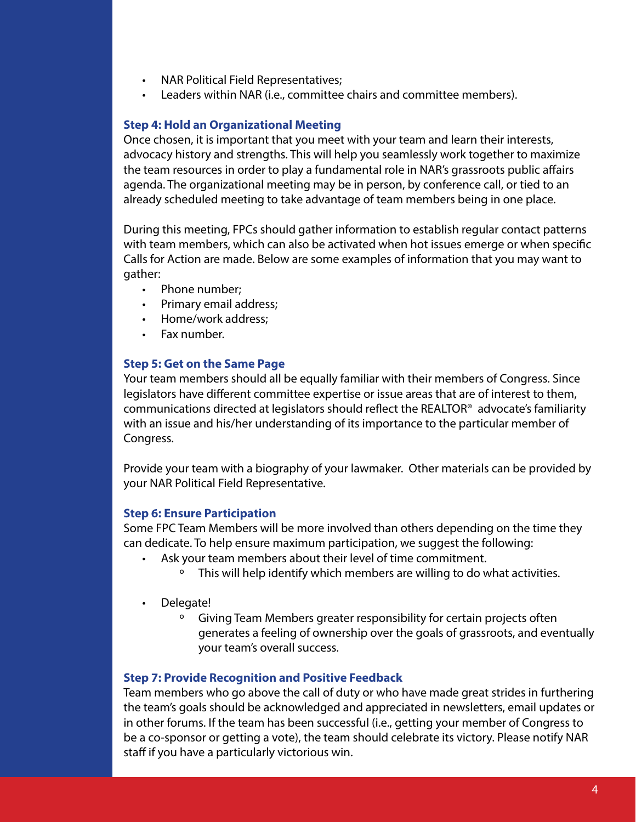- NAR Political Field Representatives;
- Leaders within NAR (i.e., committee chairs and committee members).

#### **Step 4: Hold an Organizational Meeting**

Once chosen, it is important that you meet with your team and learn their interests, advocacy history and strengths. This will help you seamlessly work together to maximize the team resources in order to play a fundamental role in NAR's grassroots public affairs agenda. The organizational meeting may be in person, by conference call, or tied to an already scheduled meeting to take advantage of team members being in one place.

During this meeting, FPCs should gather information to establish regular contact patterns with team members, which can also be activated when hot issues emerge or when specific Calls for Action are made. Below are some examples of information that you may want to gather:

- Phone number;
- Primary email address;
- Home/work address;
- Fax number.

#### **Step 5: Get on the Same Page**

Your team members should all be equally familiar with their members of Congress. Since legislators have different committee expertise or issue areas that are of interest to them, communications directed at legislators should reflect the REALTOR® advocate's familiarity with an issue and his/her understanding of its importance to the particular member of Congress.

Provide your team with a biography of your lawmaker. Other materials can be provided by your NAR Political Field Representative.

### **Step 6: Ensure Participation**

Some FPC Team Members will be more involved than others depending on the time they can dedicate. To help ensure maximum participation, we suggest the following:

- Ask your team members about their level of time commitment.
	- º This will help identify which members are willing to do what activities.
- Delegate!
	- Giving Team Members greater responsibility for certain projects often generates a feeling of ownership over the goals of grassroots, and eventually your team's overall success.

### **Step 7: Provide Recognition and Positive Feedback**

Team members who go above the call of duty or who have made great strides in furthering the team's goals should be acknowledged and appreciated in newsletters, email updates or in other forums. If the team has been successful (i.e., getting your member of Congress to be a co-sponsor or getting a vote), the team should celebrate its victory. Please notify NAR staff if you have a particularly victorious win.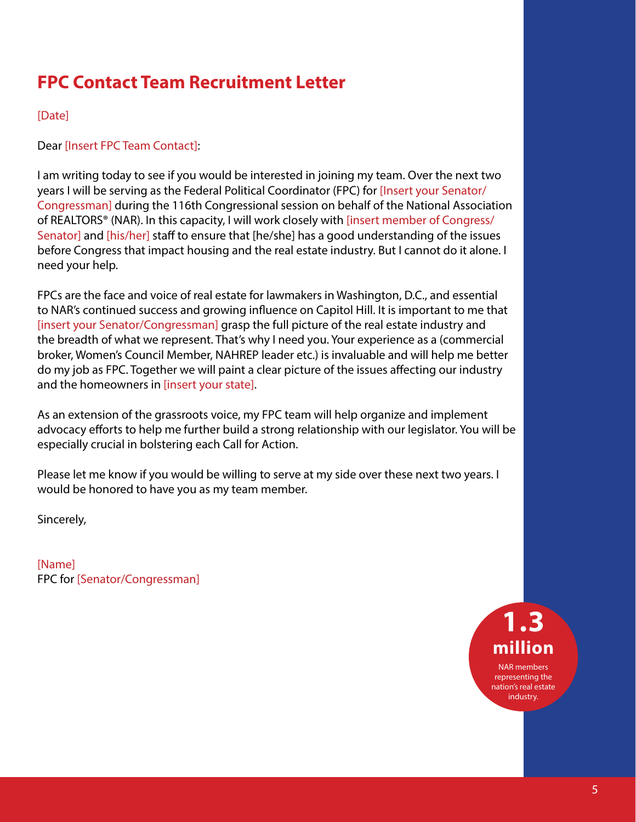# **FPC Contact Team Recruitment Letter**

### [Date]

Dear [Insert FPC Team Contact]:

I am writing today to see if you would be interested in joining my team. Over the next two years I will be serving as the Federal Political Coordinator (FPC) for [Insert your Senator/ Congressman] during the 116th Congressional session on behalf of the National Association of REALTORS® (NAR). In this capacity, I will work closely with [insert member of Congress/ Senator] and [his/her] staff to ensure that [he/she] has a good understanding of the issues before Congress that impact housing and the real estate industry. But I cannot do it alone. I need your help.

FPCs are the face and voice of real estate for lawmakers in Washington, D.C., and essential to NAR's continued success and growing influence on Capitol Hill. It is important to me that [insert your Senator/Congressman] grasp the full picture of the real estate industry and the breadth of what we represent. That's why I need you. Your experience as a (commercial broker, Women's Council Member, NAHREP leader etc.) is invaluable and will help me better do my job as FPC. Together we will paint a clear picture of the issues affecting our industry and the homeowners in [insert your state].

As an extension of the grassroots voice, my FPC team will help organize and implement advocacy efforts to help me further build a strong relationship with our legislator. You will be especially crucial in bolstering each Call for Action.

Please let me know if you would be willing to serve at my side over these next two years. I would be honored to have you as my team member.

Sincerely,

[Name] FPC for [Senator/Congressman]

> **1.3 million** NAR members representing the

nation's real estate industry.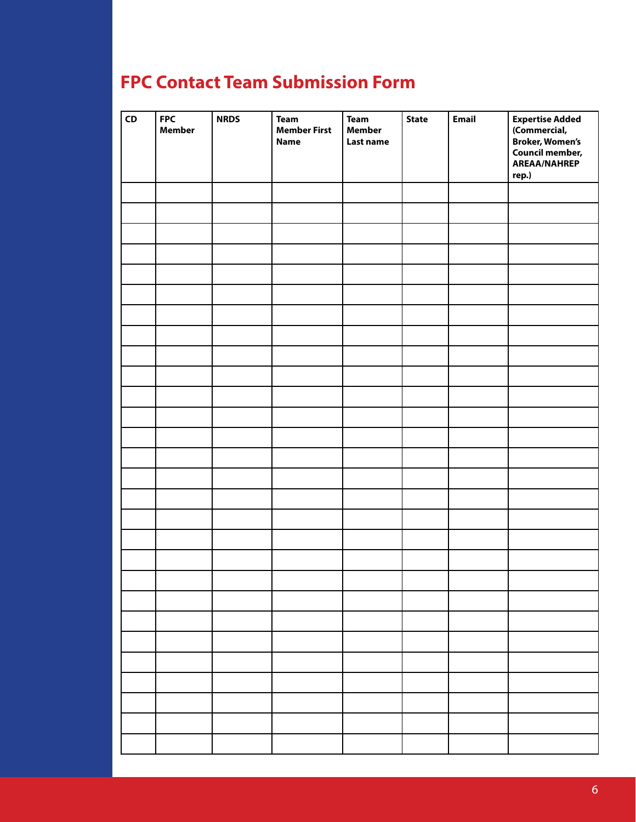# **FPC Contact Team Submission Form**

| ${\sf CD}$ | <b>FPC</b><br><b>Member</b> | <b>NRDS</b> | <b>Team</b><br><b>Member First</b><br><b>Name</b> | <b>Team</b><br><b>Member</b><br>Last name | <b>State</b> | <b>Email</b> | Expertise Added<br>(Commercial,<br><b>Broker, Women's</b><br><b>Council member,</b><br><b>AREAA/NAHREP</b><br>rep.) |
|------------|-----------------------------|-------------|---------------------------------------------------|-------------------------------------------|--------------|--------------|---------------------------------------------------------------------------------------------------------------------|
|            |                             |             |                                                   |                                           |              |              |                                                                                                                     |
|            |                             |             |                                                   |                                           |              |              |                                                                                                                     |
|            |                             |             |                                                   |                                           |              |              |                                                                                                                     |
|            |                             |             |                                                   |                                           |              |              |                                                                                                                     |
|            |                             |             |                                                   |                                           |              |              |                                                                                                                     |
|            |                             |             |                                                   |                                           |              |              |                                                                                                                     |
|            |                             |             |                                                   |                                           |              |              |                                                                                                                     |
|            |                             |             |                                                   |                                           |              |              |                                                                                                                     |
|            |                             |             |                                                   |                                           |              |              |                                                                                                                     |
|            |                             |             |                                                   |                                           |              |              |                                                                                                                     |
|            |                             |             |                                                   |                                           |              |              |                                                                                                                     |
|            |                             |             |                                                   |                                           |              |              |                                                                                                                     |
|            |                             |             |                                                   |                                           |              |              |                                                                                                                     |
|            |                             |             |                                                   |                                           |              |              |                                                                                                                     |
|            |                             |             |                                                   |                                           |              |              |                                                                                                                     |
|            |                             |             |                                                   |                                           |              |              |                                                                                                                     |
|            |                             |             |                                                   |                                           |              |              |                                                                                                                     |
|            |                             |             |                                                   |                                           |              |              |                                                                                                                     |
|            |                             |             |                                                   |                                           |              |              |                                                                                                                     |
|            |                             |             |                                                   |                                           |              |              |                                                                                                                     |
|            |                             |             |                                                   |                                           |              |              |                                                                                                                     |
|            |                             |             |                                                   |                                           |              |              |                                                                                                                     |
|            |                             |             |                                                   |                                           |              |              |                                                                                                                     |
|            |                             |             |                                                   |                                           |              |              |                                                                                                                     |
|            |                             |             |                                                   |                                           |              |              |                                                                                                                     |
|            |                             |             |                                                   |                                           |              |              |                                                                                                                     |
|            |                             |             |                                                   |                                           |              |              |                                                                                                                     |
|            |                             |             |                                                   |                                           |              |              |                                                                                                                     |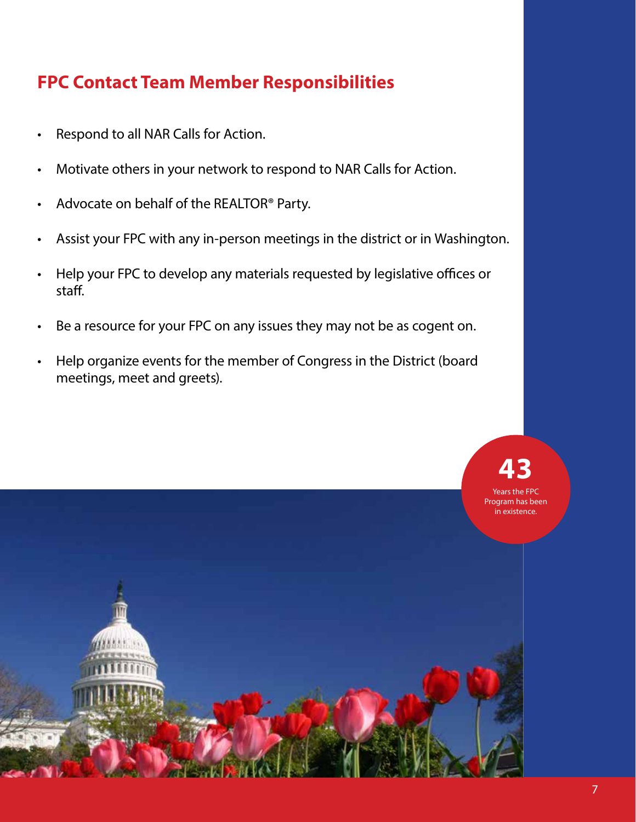# **FPC Contact Team Member Responsibilities**

- Respond to all NAR Calls for Action.
- Motivate others in your network to respond to NAR Calls for Action.
- Advocate on behalf of the REALTOR® Party.
- Assist your FPC with any in-person meetings in the district or in Washington.
- Help your FPC to develop any materials requested by legislative offices or staff.
- Be a resource for your FPC on any issues they may not be as cogent on.
- Help organize events for the member of Congress in the District (board meetings, meet and greets).

**43**

Years the FPC Program has been in existence.

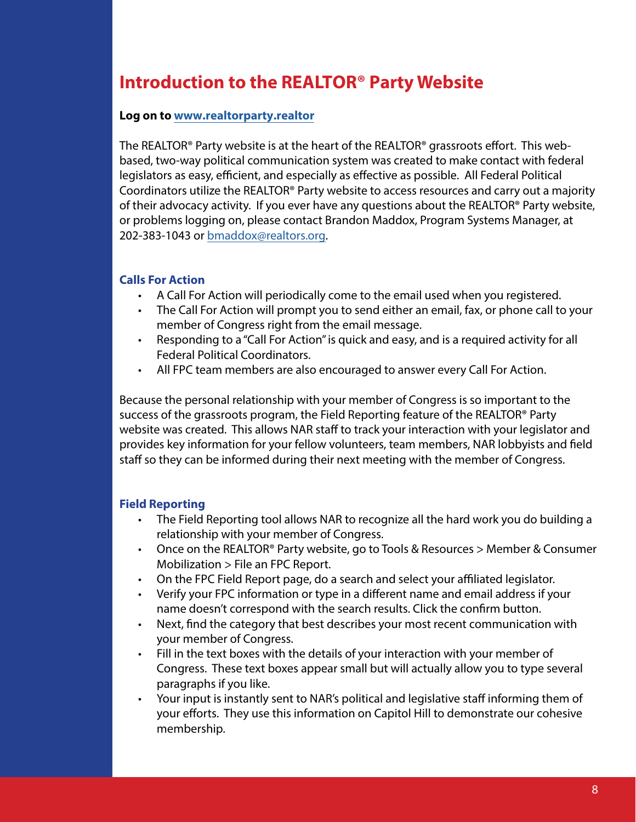## **Introduction to the REALTOR® Party Website**

#### **Log on to www.realtorparty.realtor**

The REALTOR® Party website is at the heart of the REALTOR® grassroots effort. This webbased, two-way political communication system was created to make contact with federal legislators as easy, efficient, and especially as effective as possible. All Federal Political Coordinators utilize the REALTOR® Party website to access resources and carry out a majority of their advocacy activity. If you ever have any questions about the REALTOR® Party website, or problems logging on, please contact Brandon Maddox, Program Systems Manager, at 202-383-1043 or bmaddox@realtors.org.

#### **Calls For Action**

- A Call For Action will periodically come to the email used when you registered.
- The Call For Action will prompt you to send either an email, fax, or phone call to your member of Congress right from the email message.
- Responding to a "Call For Action" is quick and easy, and is a required activity for all Federal Political Coordinators.
- All FPC team members are also encouraged to answer every Call For Action.

Because the personal relationship with your member of Congress is so important to the success of the grassroots program, the Field Reporting feature of the REALTOR® Party website was created. This allows NAR staff to track your interaction with your legislator and provides key information for your fellow volunteers, team members, NAR lobbyists and field staff so they can be informed during their next meeting with the member of Congress.

#### **Field Reporting**

- The Field Reporting tool allows NAR to recognize all the hard work you do building a relationship with your member of Congress.
- Once on the REALTOR® Party website, go to Tools & Resources > Member & Consumer Mobilization > File an FPC Report.
- On the FPC Field Report page, do a search and select your affiliated legislator.
- Verify your FPC information or type in a different name and email address if your name doesn't correspond with the search results. Click the confirm button.
- Next, find the category that best describes your most recent communication with your member of Congress.
- Fill in the text boxes with the details of your interaction with your member of Congress. These text boxes appear small but will actually allow you to type several paragraphs if you like.
- Your input is instantly sent to NAR's political and legislative staff informing them of your efforts. They use this information on Capitol Hill to demonstrate our cohesive membership.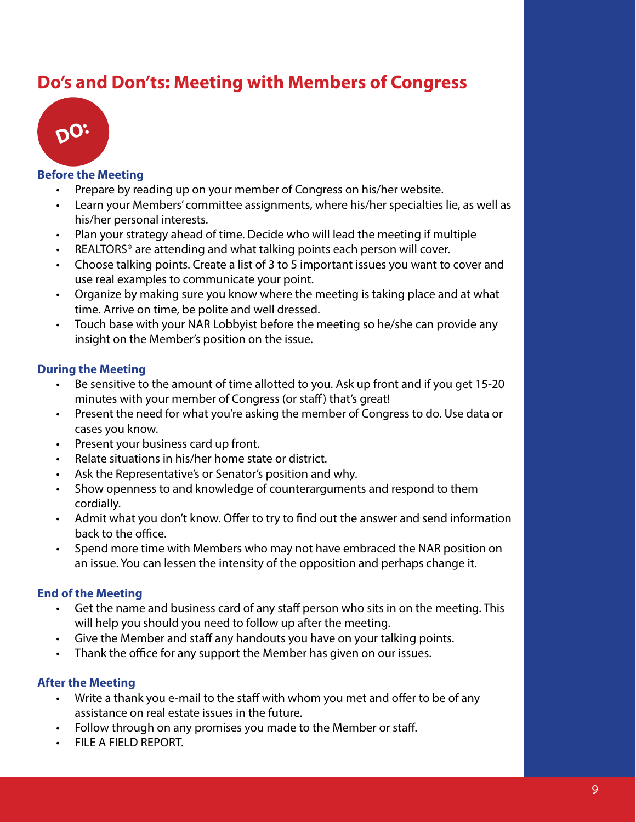## **Do's and Don'ts: Meeting with Members of Congress**



#### **Before the Meeting**

- Prepare by reading up on your member of Congress on his/her website.
- Learn your Members' committee assignments, where his/her specialties lie, as well as his/her personal interests.
- Plan your strategy ahead of time. Decide who will lead the meeting if multiple
- REALTORS<sup>®</sup> are attending and what talking points each person will cover.
- Choose talking points. Create a list of 3 to 5 important issues you want to cover and use real examples to communicate your point.
- Organize by making sure you know where the meeting is taking place and at what time. Arrive on time, be polite and well dressed.
- Touch base with your NAR Lobbyist before the meeting so he/she can provide any insight on the Member's position on the issue.

### **During the Meeting**

- Be sensitive to the amount of time allotted to you. Ask up front and if you get 15-20 minutes with your member of Congress (or staff) that's great!
- Present the need for what you're asking the member of Congress to do. Use data or cases you know.
- Present your business card up front.
- Relate situations in his/her home state or district.
- Ask the Representative's or Senator's position and why.
- Show openness to and knowledge of counterarguments and respond to them cordially.
- Admit what you don't know. Offer to try to find out the answer and send information back to the office.
- Spend more time with Members who may not have embraced the NAR position on an issue. You can lessen the intensity of the opposition and perhaps change it.

### **End of the Meeting**

- Get the name and business card of any staff person who sits in on the meeting. This will help you should you need to follow up after the meeting.
- Give the Member and staff any handouts you have on your talking points.
- Thank the office for any support the Member has given on our issues.

### **After the Meeting**

- Write a thank you e-mail to the staff with whom you met and offer to be of any assistance on real estate issues in the future.
- Follow through on any promises you made to the Member or staff.
- FILE A FIELD REPORT.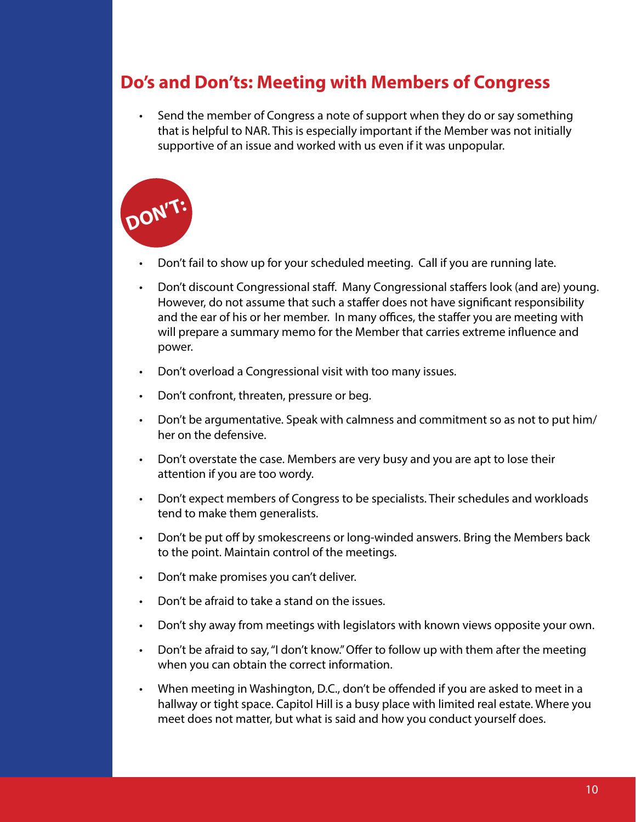## **Do's and Don'ts: Meeting with Members of Congress**

• Send the member of Congress a note of support when they do or say something that is helpful to NAR. This is especially important if the Member was not initially supportive of an issue and worked with us even if it was unpopular.



- Don't fail to show up for your scheduled meeting. Call if you are running late.
- Don't discount Congressional staff. Many Congressional staffers look (and are) young. However, do not assume that such a staffer does not have significant responsibility and the ear of his or her member. In many offices, the staffer you are meeting with will prepare a summary memo for the Member that carries extreme influence and power.
- Don't overload a Congressional visit with too many issues.
- Don't confront, threaten, pressure or beg.
- Don't be argumentative. Speak with calmness and commitment so as not to put him/ her on the defensive.
- Don't overstate the case. Members are very busy and you are apt to lose their attention if you are too wordy.
- Don't expect members of Congress to be specialists. Their schedules and workloads tend to make them generalists.
- Don't be put off by smokescreens or long-winded answers. Bring the Members back to the point. Maintain control of the meetings.
- Don't make promises you can't deliver.
- Don't be afraid to take a stand on the issues.
- Don't shy away from meetings with legislators with known views opposite your own.
- Don't be afraid to say, "I don't know." Offer to follow up with them after the meeting when you can obtain the correct information.
- When meeting in Washington, D.C., don't be offended if you are asked to meet in a hallway or tight space. Capitol Hill is a busy place with limited real estate. Where you meet does not matter, but what is said and how you conduct yourself does.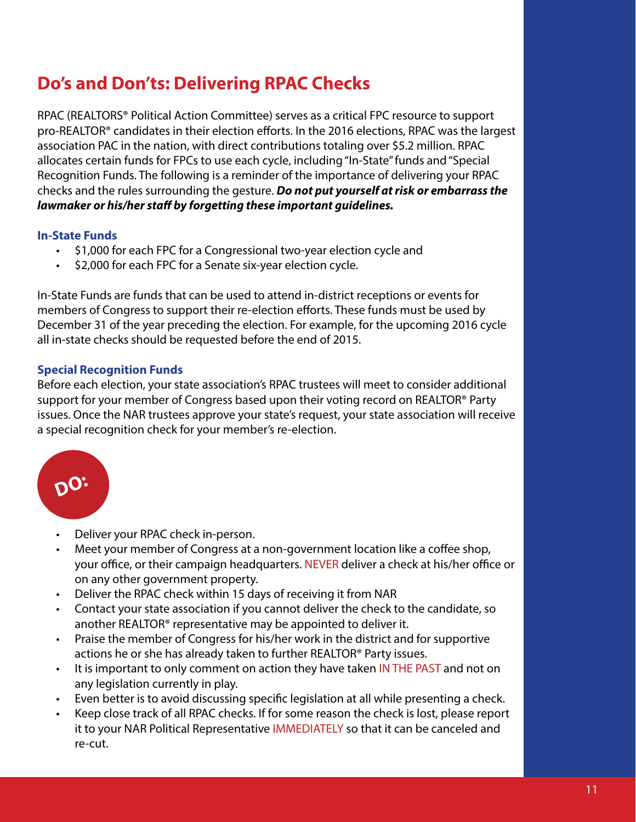# **Do's and Don'ts: Delivering RPAC Checks**

RPAC (REALTORS® Political Action Committee) serves as a critical FPC resource to support pro-REALTOR® candidates in their election efforts. In the 2016 elections, RPAC was the largest association PAC in the nation, with direct contributions totaling over \$5.2 million. RPAC allocates certain funds for FPCs to use each cycle, including "In-State" funds and "Special Recognition Funds. The following is a reminder of the importance of delivering your RPAC checks and the rules surrounding the gesture. *Do not put yourself at risk or embarrass the lawmaker or his/her staff by forgetting these important guidelines.*

### **In-State Funds**

- \$1,000 for each FPC for a Congressional two-year election cycle and
- \$2,000 for each FPC for a Senate six-year election cycle.

In-State Funds are funds that can be used to attend in-district receptions or events for members of Congress to support their re-election efforts. These funds must be used by December 31 of the year preceding the election. For example, for the upcoming 2016 cycle all in-state checks should be requested before the end of 2015.

### **Special Recognition Funds**

Before each election, your state association's RPAC trustees will meet to consider additional support for your member of Congress based upon their voting record on REALTOR® Party issues. Once the NAR trustees approve your state's request, your state association will receive a special recognition check for your member's re-election.



- Deliver your RPAC check in-person.
- Meet your member of Congress at a non-government location like a coffee shop, your office, or their campaign headquarters. NEVER deliver a check at his/her office or on any other government property.
- Deliver the RPAC check within 15 days of receiving it from NAR
- Contact your state association if you cannot deliver the check to the candidate, so another REALTOR® representative may be appointed to deliver it.
- Praise the member of Congress for his/her work in the district and for supportive actions he or she has already taken to further REALTOR® Party issues.
- It is important to only comment on action they have taken IN THE PAST and not on any legislation currently in play.
- Even better is to avoid discussing specific legislation at all while presenting a check.
- Keep close track of all RPAC checks. If for some reason the check is lost, please report it to your NAR Political Representative IMMEDIATELY so that it can be canceled and re-cut.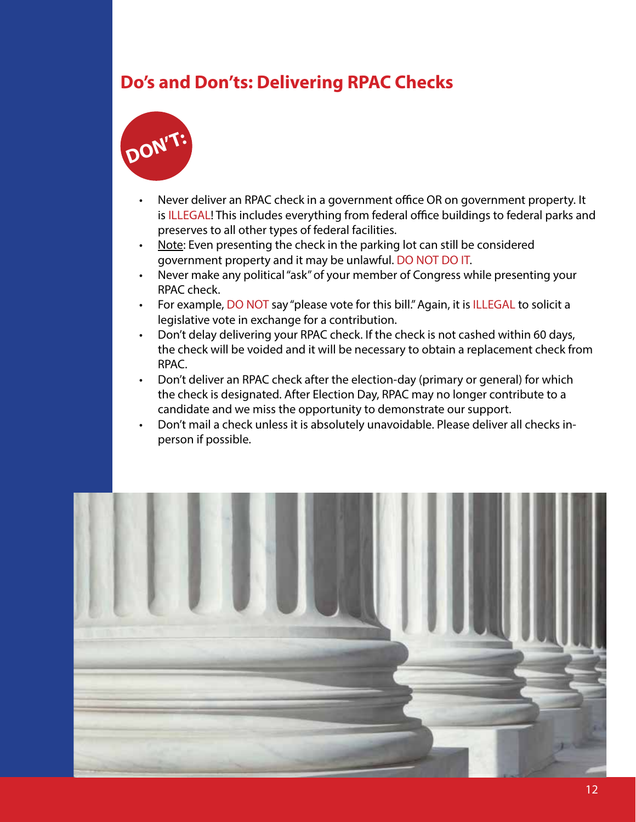# **Do's and Don'ts: Delivering RPAC Checks**



- Never deliver an RPAC check in a government office OR on government property. It is ILLEGAL! This includes everything from federal office buildings to federal parks and preserves to all other types of federal facilities.
- Note: Even presenting the check in the parking lot can still be considered government property and it may be unlawful. DO NOT DO IT.
- Never make any political "ask" of your member of Congress while presenting your RPAC check.
- For example, DO NOT say "please vote for this bill." Again, it is ILLEGAL to solicit a legislative vote in exchange for a contribution.
- Don't delay delivering your RPAC check. If the check is not cashed within 60 days, the check will be voided and it will be necessary to obtain a replacement check from RPAC.
- Don't deliver an RPAC check after the election-day (primary or general) for which the check is designated. After Election Day, RPAC may no longer contribute to a candidate and we miss the opportunity to demonstrate our support.
- Don't mail a check unless it is absolutely unavoidable. Please deliver all checks inperson if possible.

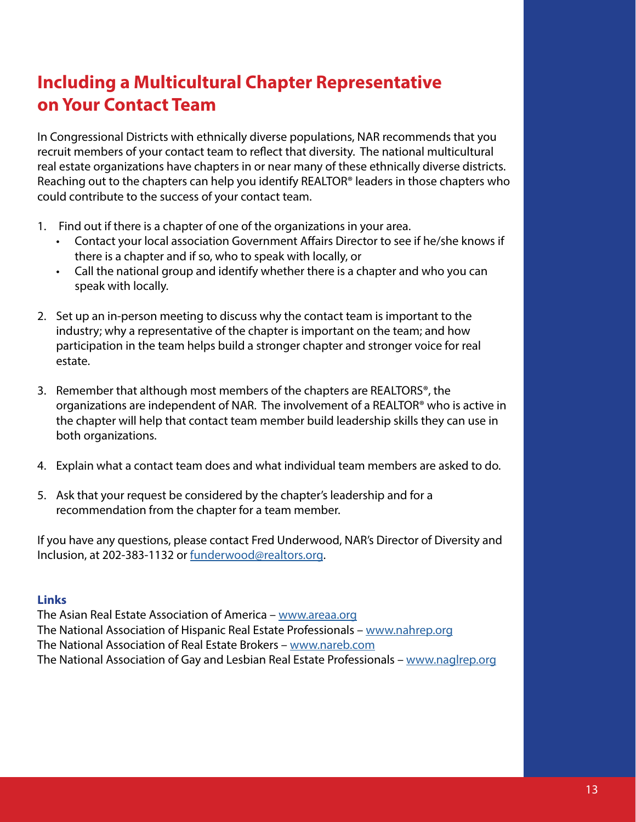# **Including a Multicultural Chapter Representative on Your Contact Team**

In Congressional Districts with ethnically diverse populations, NAR recommends that you recruit members of your contact team to reflect that diversity. The national multicultural real estate organizations have chapters in or near many of these ethnically diverse districts. Reaching out to the chapters can help you identify REALTOR® leaders in those chapters who could contribute to the success of your contact team.

- 1. Find out if there is a chapter of one of the organizations in your area.
	- Contact your local association Government Affairs Director to see if he/she knows if there is a chapter and if so, who to speak with locally, or
	- Call the national group and identify whether there is a chapter and who you can speak with locally.
- 2. Set up an in-person meeting to discuss why the contact team is important to the industry; why a representative of the chapter is important on the team; and how participation in the team helps build a stronger chapter and stronger voice for real estate.
- 3. Remember that although most members of the chapters are REALTORS®, the organizations are independent of NAR. The involvement of a REALTOR® who is active in the chapter will help that contact team member build leadership skills they can use in both organizations.
- 4. Explain what a contact team does and what individual team members are asked to do.
- 5. Ask that your request be considered by the chapter's leadership and for a recommendation from the chapter for a team member.

If you have any questions, please contact Fred Underwood, NAR's Director of Diversity and Inclusion, at 202-383-1132 or funderwood@realtors.org.

#### **Links**

The Asian Real Estate Association of America – www.areaa.org The National Association of Hispanic Real Estate Professionals – www.nahrep.org The National Association of Real Estate Brokers - www.nareb.com The National Association of Gay and Lesbian Real Estate Professionals – www.naglrep.org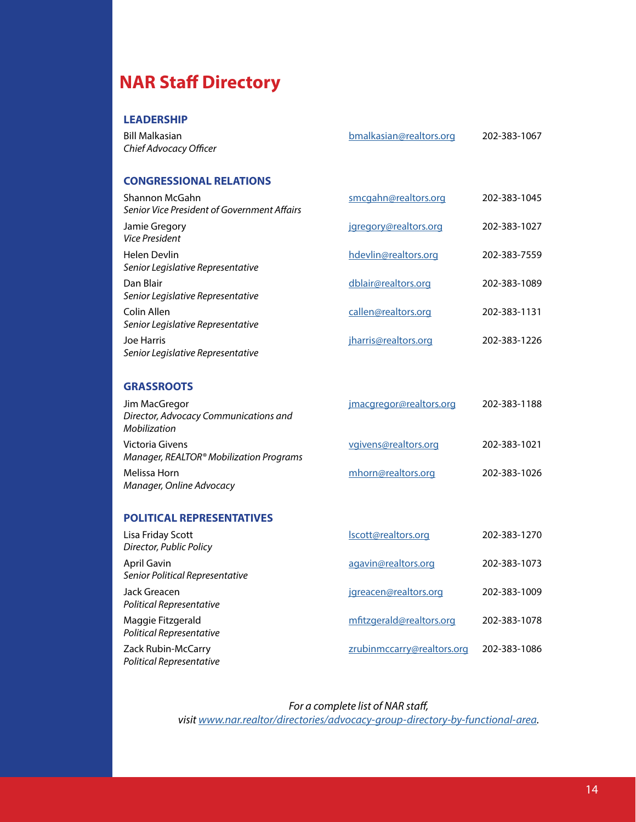# **NAR Staff Directory**

#### **LEADERSHIP**

| <b>Bill Malkasian</b><br>Chief Advocacy Officer                        | bmalkasian@realtors.org    | 202-383-1067 |
|------------------------------------------------------------------------|----------------------------|--------------|
| <b>CONGRESSIONAL RELATIONS</b>                                         |                            |              |
| Shannon McGahn<br><b>Senior Vice President of Government Affairs</b>   | smcgahn@realtors.org       | 202-383-1045 |
| Jamie Gregory<br><b>Vice President</b>                                 | jgregory@realtors.org      | 202-383-1027 |
| <b>Helen Devlin</b><br>Senior Legislative Representative               | hdevlin@realtors.org       | 202-383-7559 |
| Dan Blair<br>Senior Legislative Representative                         | dblair@realtors.org        | 202-383-1089 |
| Colin Allen<br>Senior Legislative Representative                       | callen@realtors.org        | 202-383-1131 |
| <b>Joe Harris</b><br>Senior Legislative Representative                 | jharris@realtors.org       | 202-383-1226 |
| <b>GRASSROOTS</b>                                                      |                            |              |
| Jim MacGregor<br>Director, Advocacy Communications and<br>Mobilization | jmacgregor@realtors.org    | 202-383-1188 |
| <b>Victoria Givens</b><br>Manager, REALTOR® Mobilization Programs      | vgivens@realtors.org       | 202-383-1021 |
| Melissa Horn<br>Manager, Online Advocacy                               | mhorn@realtors.org         | 202-383-1026 |
| <b>POLITICAL REPRESENTATIVES</b>                                       |                            |              |
| Lisa Friday Scott<br>Director, Public Policy                           | Iscott@realtors.org        | 202-383-1270 |
| <b>April Gavin</b><br>Senior Political Representative                  | agavin@realtors.org        | 202-383-1073 |
| Jack Greacen<br>Political Representative                               | jgreacen@realtors.org      | 202-383-1009 |
| Maggie Fitzgerald<br>Political Representative                          | mfitzgerald@realtors.org   | 202-383-1078 |
| Zack Rubin-McCarry<br>Political Representative                         | zrubinmccarry@realtors.org | 202-383-1086 |

*For a complete list of NAR staff, visit www.nar.realtor/directories/advocacy-group-directory-by-functional-area.*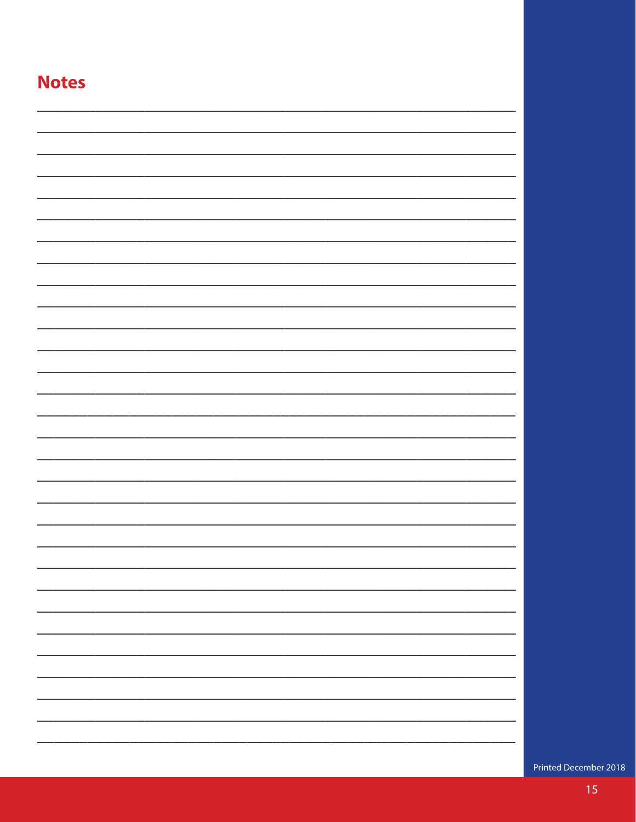| <b>Notes</b> |  |
|--------------|--|
|              |  |
|              |  |
|              |  |
|              |  |
|              |  |
|              |  |
|              |  |
|              |  |
|              |  |
|              |  |
|              |  |
|              |  |
|              |  |
|              |  |
|              |  |
|              |  |
|              |  |
|              |  |
|              |  |
|              |  |
|              |  |
|              |  |
|              |  |
|              |  |
|              |  |

Printed December 2018